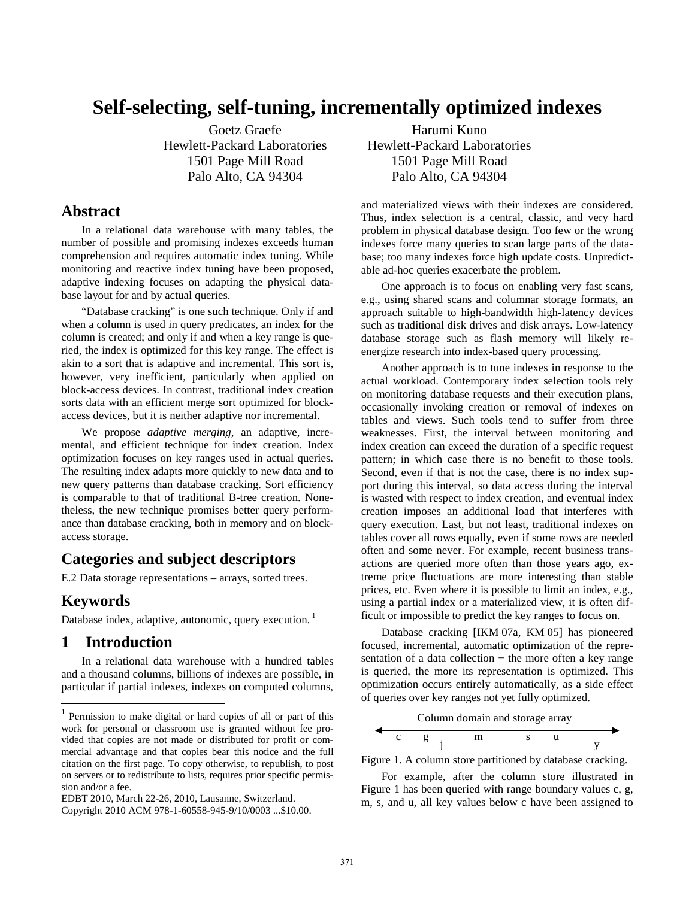# **Self-selecting, self-tuning, incrementally optimized indexes**

Goetz Graefe Hewlett-Packard Laboratories 1501 Page Mill Road Palo Alto, CA 94304

## **Abstract**

In a relational data warehouse with many tables, the number of possible and promising indexes exceeds human comprehension and requires automatic index tuning. While monitoring and reactive index tuning have been proposed, adaptive indexing focuses on adapting the physical database layout for and by actual queries.

"Database cracking" is one such technique. Only if and when a column is used in query predicates, an index for the column is created; and only if and when a key range is queried, the index is optimized for this key range. The effect is akin to a sort that is adaptive and incremental. This sort is, however, very inefficient, particularly when applied on block-access devices. In contrast, traditional index creation sorts data with an efficient merge sort optimized for blockaccess devices, but it is neither adaptive nor incremental.

We propose *adaptive merging*, an adaptive, incremental, and efficient technique for index creation. Index optimization focuses on key ranges used in actual queries. The resulting index adapts more quickly to new data and to new query patterns than database cracking. Sort efficiency is comparable to that of traditional B-tree creation. Nonetheless, the new technique promises better query performance than database cracking, both in memory and on blockaccess storage.

## **Categories and subject descriptors**

E.2 Data storage representations – arrays, sorted trees.

## **Keywords**

 $\overline{a}$ 

Database index, adaptive, autonomic, query execution. $<sup>1</sup>$ </sup>

## **1 Introduction**

In a relational data warehouse with a hundred tables and a thousand columns, billions of indexes are possible, in particular if partial indexes, indexes on computed columns,

EDBT 2010, March 22-26, 2010, Lausanne, Switzerland.

Copyright 2010 ACM 978-1-60558-945-9/10/0003 ...\$10.00.

Harumi Kuno Hewlett-Packard Laboratories 1501 Page Mill Road Palo Alto, CA 94304

and materialized views with their indexes are considered. Thus, index selection is a central, classic, and very hard problem in physical database design. Too few or the wrong indexes force many queries to scan large parts of the database; too many indexes force high update costs. Unpredictable ad-hoc queries exacerbate the problem.

One approach is to focus on enabling very fast scans, e.g., using shared scans and columnar storage formats, an approach suitable to high-bandwidth high-latency devices such as traditional disk drives and disk arrays. Low-latency database storage such as flash memory will likely reenergize research into index-based query processing.

Another approach is to tune indexes in response to the actual workload. Contemporary index selection tools rely on monitoring database requests and their execution plans, occasionally invoking creation or removal of indexes on tables and views. Such tools tend to suffer from three weaknesses. First, the interval between monitoring and index creation can exceed the duration of a specific request pattern; in which case there is no benefit to those tools. Second, even if that is not the case, there is no index support during this interval, so data access during the interval is wasted with respect to index creation, and eventual index creation imposes an additional load that interferes with query execution. Last, but not least, traditional indexes on tables cover all rows equally, even if some rows are needed often and some never. For example, recent business transactions are queried more often than those years ago, extreme price fluctuations are more interesting than stable prices, etc. Even where it is possible to limit an index, e.g., using a partial index or a materialized view, it is often difficult or impossible to predict the key ranges to focus on.

Database cracking [IKM 07a, KM 05] has pioneered focused, incremental, automatic optimization of the representation of a data collection − the more often a key range is queried, the more its representation is optimized. This optimization occurs entirely automatically, as a side effect of queries over key ranges not yet fully optimized.



Figure 1. A column store partitioned by database cracking.

For example, after the column store illustrated in Figure 1 has been queried with range boundary values c, g, m, s, and u, all key values below c have been assigned to

<sup>1</sup> Permission to make digital or hard copies of all or part of this work for personal or classroom use is granted without fee provided that copies are not made or distributed for profit or commercial advantage and that copies bear this notice and the full citation on the first page. To copy otherwise, to republish, to post on servers or to redistribute to lists, requires prior specific permission and/or a fee.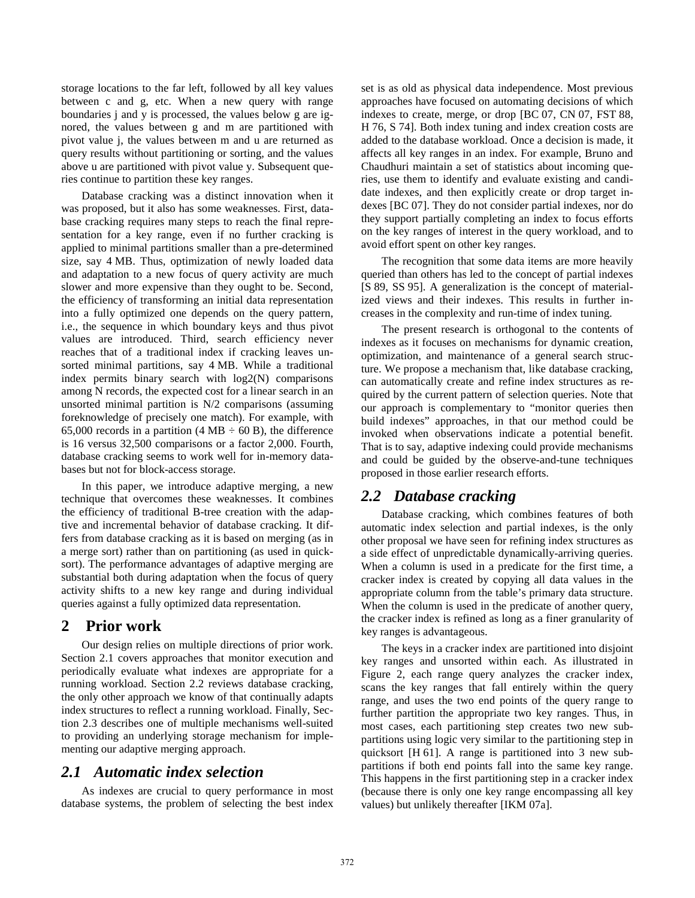storage locations to the far left, followed by all key values between c and g, etc. When a new query with range boundaries j and y is processed, the values below g are ignored, the values between g and m are partitioned with pivot value j, the values between m and u are returned as query results without partitioning or sorting, and the values above u are partitioned with pivot value y. Subsequent queries continue to partition these key ranges.

Database cracking was a distinct innovation when it was proposed, but it also has some weaknesses. First, database cracking requires many steps to reach the final representation for a key range, even if no further cracking is applied to minimal partitions smaller than a pre-determined size, say 4 MB. Thus, optimization of newly loaded data and adaptation to a new focus of query activity are much slower and more expensive than they ought to be. Second, the efficiency of transforming an initial data representation into a fully optimized one depends on the query pattern, i.e., the sequence in which boundary keys and thus pivot values are introduced. Third, search efficiency never reaches that of a traditional index if cracking leaves unsorted minimal partitions, say 4 MB. While a traditional index permits binary search with log2(N) comparisons among N records, the expected cost for a linear search in an unsorted minimal partition is N/2 comparisons (assuming foreknowledge of precisely one match). For example, with 65,000 records in a partition (4 MB  $\div$  60 B), the difference is 16 versus 32,500 comparisons or a factor 2,000. Fourth, database cracking seems to work well for in-memory databases but not for block-access storage.

In this paper, we introduce adaptive merging, a new technique that overcomes these weaknesses. It combines the efficiency of traditional B-tree creation with the adaptive and incremental behavior of database cracking. It differs from database cracking as it is based on merging (as in a merge sort) rather than on partitioning (as used in quicksort). The performance advantages of adaptive merging are substantial both during adaptation when the focus of query activity shifts to a new key range and during individual queries against a fully optimized data representation.

#### **2 Prior work**

Our design relies on multiple directions of prior work. Section 2.1 covers approaches that monitor execution and periodically evaluate what indexes are appropriate for a running workload. Section 2.2 reviews database cracking, the only other approach we know of that continually adapts index structures to reflect a running workload. Finally, Section 2.3 describes one of multiple mechanisms well-suited to providing an underlying storage mechanism for implementing our adaptive merging approach.

## *2.1 Automatic index selection*

As indexes are crucial to query performance in most database systems, the problem of selecting the best index set is as old as physical data independence. Most previous approaches have focused on automating decisions of which indexes to create, merge, or drop [BC 07, CN 07, FST 88, H 76, S 74]. Both index tuning and index creation costs are added to the database workload. Once a decision is made, it affects all key ranges in an index. For example, Bruno and Chaudhuri maintain a set of statistics about incoming queries, use them to identify and evaluate existing and candidate indexes, and then explicitly create or drop target indexes [BC 07]. They do not consider partial indexes, nor do they support partially completing an index to focus efforts on the key ranges of interest in the query workload, and to avoid effort spent on other key ranges.

The recognition that some data items are more heavily queried than others has led to the concept of partial indexes [S 89, SS 95]. A generalization is the concept of materialized views and their indexes. This results in further increases in the complexity and run-time of index tuning.

The present research is orthogonal to the contents of indexes as it focuses on mechanisms for dynamic creation, optimization, and maintenance of a general search structure. We propose a mechanism that, like database cracking, can automatically create and refine index structures as required by the current pattern of selection queries. Note that our approach is complementary to "monitor queries then build indexes" approaches, in that our method could be invoked when observations indicate a potential benefit. That is to say, adaptive indexing could provide mechanisms and could be guided by the observe-and-tune techniques proposed in those earlier research efforts.

## *2.2 Database cracking*

Database cracking, which combines features of both automatic index selection and partial indexes, is the only other proposal we have seen for refining index structures as a side effect of unpredictable dynamically-arriving queries. When a column is used in a predicate for the first time, a cracker index is created by copying all data values in the appropriate column from the table's primary data structure. When the column is used in the predicate of another query, the cracker index is refined as long as a finer granularity of key ranges is advantageous.

The keys in a cracker index are partitioned into disjoint key ranges and unsorted within each. As illustrated in Figure 2, each range query analyzes the cracker index, scans the key ranges that fall entirely within the query range, and uses the two end points of the query range to further partition the appropriate two key ranges. Thus, in most cases, each partitioning step creates two new subpartitions using logic very similar to the partitioning step in quicksort [H 61]. A range is partitioned into 3 new subpartitions if both end points fall into the same key range. This happens in the first partitioning step in a cracker index (because there is only one key range encompassing all key values) but unlikely thereafter [IKM 07a].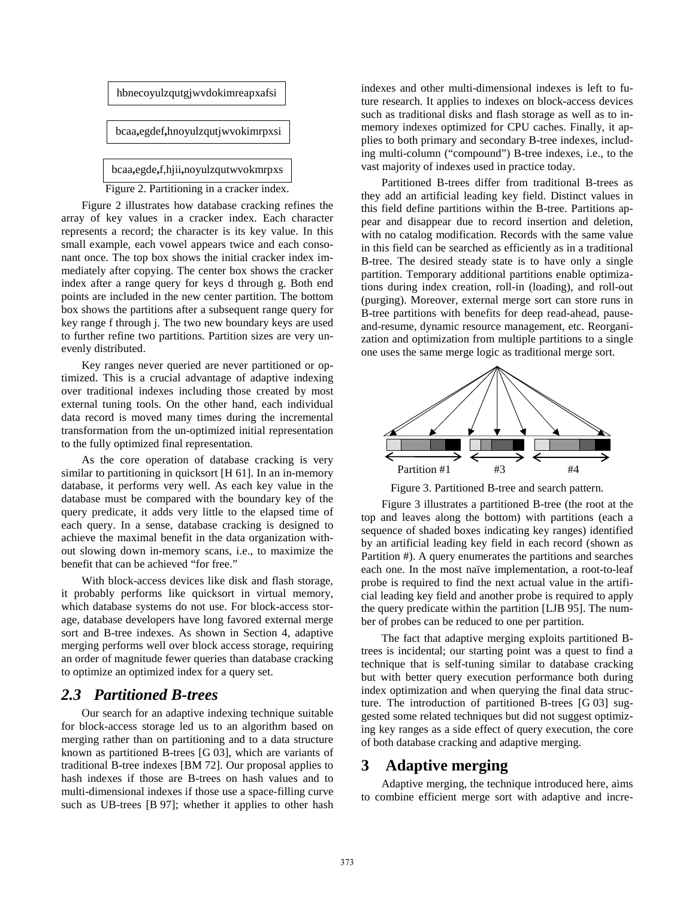

Figure 2. Partitioning in a cracker index.

Figure 2 illustrates how database cracking refines the array of key values in a cracker index. Each character represents a record; the character is its key value. In this small example, each vowel appears twice and each consonant once. The top box shows the initial cracker index immediately after copying. The center box shows the cracker index after a range query for keys d through g. Both end points are included in the new center partition. The bottom box shows the partitions after a subsequent range query for key range f through j. The two new boundary keys are used to further refine two partitions. Partition sizes are very unevenly distributed.

Key ranges never queried are never partitioned or optimized. This is a crucial advantage of adaptive indexing over traditional indexes including those created by most external tuning tools. On the other hand, each individual data record is moved many times during the incremental transformation from the un-optimized initial representation to the fully optimized final representation.

As the core operation of database cracking is very similar to partitioning in quicksort [H 61]. In an in-memory database, it performs very well. As each key value in the database must be compared with the boundary key of the query predicate, it adds very little to the elapsed time of each query. In a sense, database cracking is designed to achieve the maximal benefit in the data organization without slowing down in-memory scans, i.e., to maximize the benefit that can be achieved "for free."

With block-access devices like disk and flash storage, it probably performs like quicksort in virtual memory, which database systems do not use. For block-access storage, database developers have long favored external merge sort and B-tree indexes. As shown in Section 4, adaptive merging performs well over block access storage, requiring an order of magnitude fewer queries than database cracking to optimize an optimized index for a query set.

## *2.3 Partitioned B-trees*

Our search for an adaptive indexing technique suitable for block-access storage led us to an algorithm based on merging rather than on partitioning and to a data structure known as partitioned B-trees [G 03], which are variants of traditional B-tree indexes [BM 72]. Our proposal applies to hash indexes if those are B-trees on hash values and to multi-dimensional indexes if those use a space-filling curve such as UB-trees [B 97]; whether it applies to other hash indexes and other multi-dimensional indexes is left to future research. It applies to indexes on block-access devices such as traditional disks and flash storage as well as to inmemory indexes optimized for CPU caches. Finally, it applies to both primary and secondary B-tree indexes, including multi-column ("compound") B-tree indexes, i.e., to the vast majority of indexes used in practice today.

Partitioned B-trees differ from traditional B-trees as they add an artificial leading key field. Distinct values in this field define partitions within the B-tree. Partitions appear and disappear due to record insertion and deletion, with no catalog modification. Records with the same value in this field can be searched as efficiently as in a traditional B-tree. The desired steady state is to have only a single partition. Temporary additional partitions enable optimizations during index creation, roll-in (loading), and roll-out (purging). Moreover, external merge sort can store runs in B-tree partitions with benefits for deep read-ahead, pauseand-resume, dynamic resource management, etc. Reorganization and optimization from multiple partitions to a single one uses the same merge logic as traditional merge sort.



Figure 3. Partitioned B-tree and search pattern.

Figure 3 illustrates a partitioned B-tree (the root at the top and leaves along the bottom) with partitions (each a sequence of shaded boxes indicating key ranges) identified by an artificial leading key field in each record (shown as Partition #). A query enumerates the partitions and searches each one. In the most naïve implementation, a root-to-leaf probe is required to find the next actual value in the artificial leading key field and another probe is required to apply the query predicate within the partition [LJB 95]. The number of probes can be reduced to one per partition.

The fact that adaptive merging exploits partitioned Btrees is incidental; our starting point was a quest to find a technique that is self-tuning similar to database cracking but with better query execution performance both during index optimization and when querying the final data structure. The introduction of partitioned B-trees [G 03] suggested some related techniques but did not suggest optimizing key ranges as a side effect of query execution, the core of both database cracking and adaptive merging.

## **3 Adaptive merging**

Adaptive merging, the technique introduced here, aims to combine efficient merge sort with adaptive and incre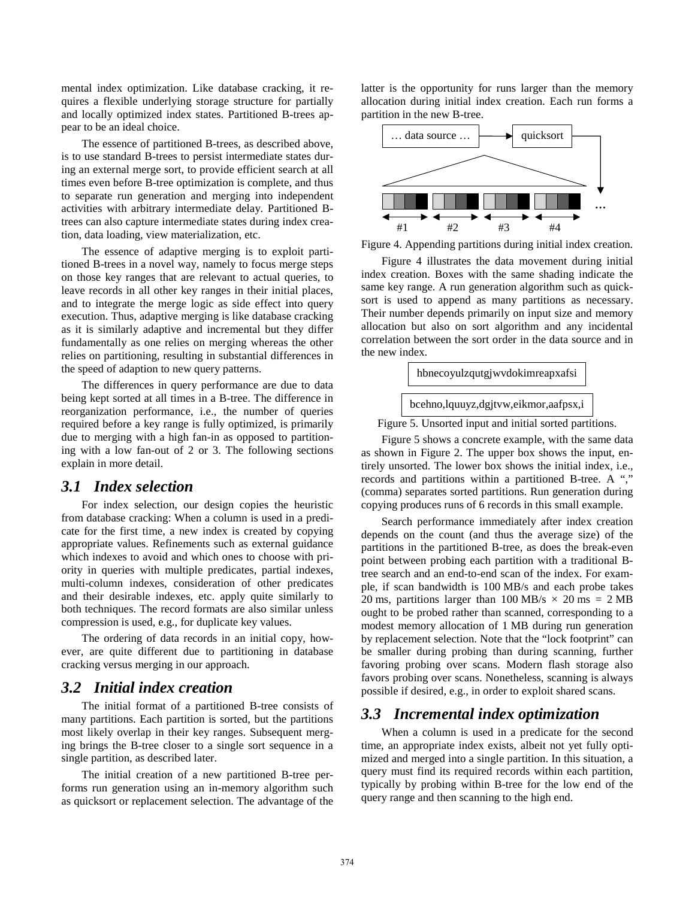mental index optimization. Like database cracking, it requires a flexible underlying storage structure for partially and locally optimized index states. Partitioned B-trees appear to be an ideal choice.

The essence of partitioned B-trees, as described above, is to use standard B-trees to persist intermediate states during an external merge sort, to provide efficient search at all times even before B-tree optimization is complete, and thus to separate run generation and merging into independent activities with arbitrary intermediate delay. Partitioned Btrees can also capture intermediate states during index creation, data loading, view materialization, etc.

The essence of adaptive merging is to exploit partitioned B-trees in a novel way, namely to focus merge steps on those key ranges that are relevant to actual queries, to leave records in all other key ranges in their initial places, and to integrate the merge logic as side effect into query execution. Thus, adaptive merging is like database cracking as it is similarly adaptive and incremental but they differ fundamentally as one relies on merging whereas the other relies on partitioning, resulting in substantial differences in the speed of adaption to new query patterns.

The differences in query performance are due to data being kept sorted at all times in a B-tree. The difference in reorganization performance, i.e., the number of queries required before a key range is fully optimized, is primarily due to merging with a high fan-in as opposed to partitioning with a low fan-out of 2 or 3. The following sections explain in more detail.

#### *3.1 Index selection*

For index selection, our design copies the heuristic from database cracking: When a column is used in a predicate for the first time, a new index is created by copying appropriate values. Refinements such as external guidance which indexes to avoid and which ones to choose with priority in queries with multiple predicates, partial indexes, multi-column indexes, consideration of other predicates and their desirable indexes, etc. apply quite similarly to both techniques. The record formats are also similar unless compression is used, e.g., for duplicate key values.

The ordering of data records in an initial copy, however, are quite different due to partitioning in database cracking versus merging in our approach.

#### *3.2 Initial index creation*

The initial format of a partitioned B-tree consists of many partitions. Each partition is sorted, but the partitions most likely overlap in their key ranges. Subsequent merging brings the B-tree closer to a single sort sequence in a single partition, as described later.

The initial creation of a new partitioned B-tree performs run generation using an in-memory algorithm such as quicksort or replacement selection. The advantage of the latter is the opportunity for runs larger than the memory allocation during initial index creation. Each run forms a partition in the new B-tree.



Figure 4. Appending partitions during initial index creation.

Figure 4 illustrates the data movement during initial index creation. Boxes with the same shading indicate the same key range. A run generation algorithm such as quicksort is used to append as many partitions as necessary. Their number depends primarily on input size and memory allocation but also on sort algorithm and any incidental correlation between the sort order in the data source and in the new index.

hbnecoyulzqutgjwvdokimreapxafsi

| bcehno,lquuyz,dgjtvw,eikmor,aafpsx,i |  |  |
|--------------------------------------|--|--|
|                                      |  |  |
|                                      |  |  |

Figure 5. Unsorted input and initial sorted partitions.

Figure 5 shows a concrete example, with the same data as shown in Figure 2. The upper box shows the input, entirely unsorted. The lower box shows the initial index, i.e., records and partitions within a partitioned B-tree. A "," (comma) separates sorted partitions. Run generation during copying produces runs of 6 records in this small example.

Search performance immediately after index creation depends on the count (and thus the average size) of the partitions in the partitioned B-tree, as does the break-even point between probing each partition with a traditional Btree search and an end-to-end scan of the index. For example, if scan bandwidth is 100 MB/s and each probe takes 20 ms, partitions larger than 100 MB/s  $\times$  20 ms = 2 MB ought to be probed rather than scanned, corresponding to a modest memory allocation of 1 MB during run generation by replacement selection. Note that the "lock footprint" can be smaller during probing than during scanning, further favoring probing over scans. Modern flash storage also favors probing over scans. Nonetheless, scanning is always possible if desired, e.g., in order to exploit shared scans.

### *3.3 Incremental index optimization*

When a column is used in a predicate for the second time, an appropriate index exists, albeit not yet fully optimized and merged into a single partition. In this situation, a query must find its required records within each partition, typically by probing within B-tree for the low end of the query range and then scanning to the high end.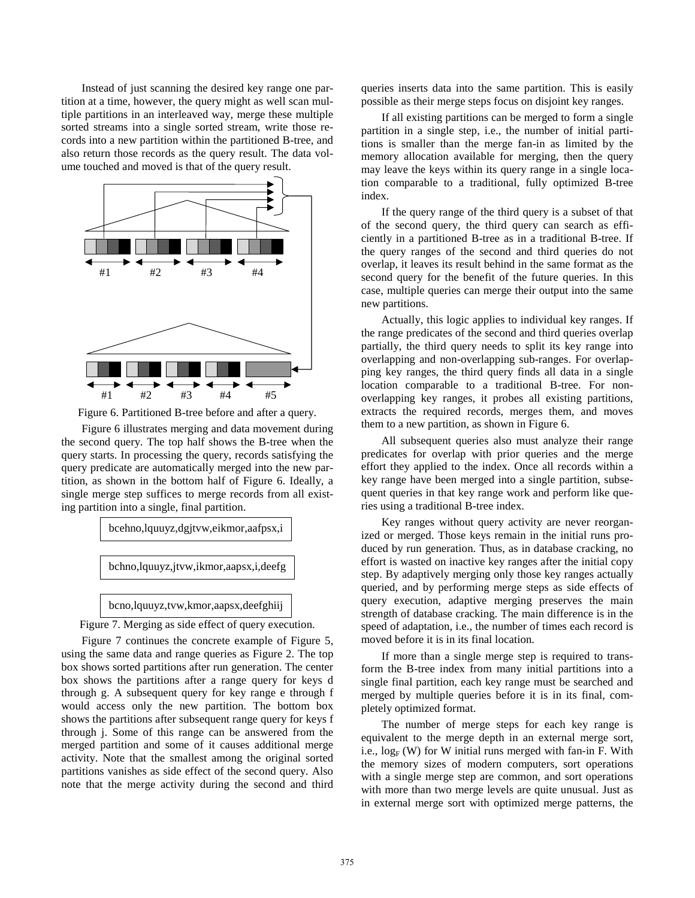Instead of just scanning the desired key range one partition at a time, however, the query might as well scan multiple partitions in an interleaved way, merge these multiple sorted streams into a single sorted stream, write those records into a new partition within the partitioned B-tree, and also return those records as the query result. The data volume touched and moved is that of the query result.



Figure 6. Partitioned B-tree before and after a query.

Figure 6 illustrates merging and data movement during the second query. The top half shows the B-tree when the query starts. In processing the query, records satisfying the query predicate are automatically merged into the new partition, as shown in the bottom half of Figure 6. Ideally, a single merge step suffices to merge records from all existing partition into a single, final partition.

bcehno,lquuyz,dgjtvw,eikmor,aafpsx,i

bchno,lquuyz,jtvw,ikmor,aapsx,i,deefg



Figure 7. Merging as side effect of query execution.

Figure 7 continues the concrete example of Figure 5, using the same data and range queries as Figure 2. The top box shows sorted partitions after run generation. The center box shows the partitions after a range query for keys d through g. A subsequent query for key range e through f would access only the new partition. The bottom box shows the partitions after subsequent range query for keys f through j. Some of this range can be answered from the merged partition and some of it causes additional merge activity. Note that the smallest among the original sorted partitions vanishes as side effect of the second query. Also note that the merge activity during the second and third

queries inserts data into the same partition. This is easily possible as their merge steps focus on disjoint key ranges.

If all existing partitions can be merged to form a single partition in a single step, i.e., the number of initial partitions is smaller than the merge fan-in as limited by the memory allocation available for merging, then the query may leave the keys within its query range in a single location comparable to a traditional, fully optimized B-tree index.

If the query range of the third query is a subset of that of the second query, the third query can search as efficiently in a partitioned B-tree as in a traditional B-tree. If the query ranges of the second and third queries do not overlap, it leaves its result behind in the same format as the second query for the benefit of the future queries. In this case, multiple queries can merge their output into the same new partitions.

Actually, this logic applies to individual key ranges. If the range predicates of the second and third queries overlap partially, the third query needs to split its key range into overlapping and non-overlapping sub-ranges. For overlapping key ranges, the third query finds all data in a single location comparable to a traditional B-tree. For nonoverlapping key ranges, it probes all existing partitions, extracts the required records, merges them, and moves them to a new partition, as shown in Figure 6.

All subsequent queries also must analyze their range predicates for overlap with prior queries and the merge effort they applied to the index. Once all records within a key range have been merged into a single partition, subsequent queries in that key range work and perform like queries using a traditional B-tree index.

Key ranges without query activity are never reorganized or merged. Those keys remain in the initial runs produced by run generation. Thus, as in database cracking, no effort is wasted on inactive key ranges after the initial copy step. By adaptively merging only those key ranges actually queried, and by performing merge steps as side effects of query execution, adaptive merging preserves the main strength of database cracking. The main difference is in the speed of adaptation, i.e., the number of times each record is moved before it is in its final location.

If more than a single merge step is required to transform the B-tree index from many initial partitions into a single final partition, each key range must be searched and merged by multiple queries before it is in its final, completely optimized format.

The number of merge steps for each key range is equivalent to the merge depth in an external merge sort, i.e.,  $log_F (W)$  for W initial runs merged with fan-in F. With the memory sizes of modern computers, sort operations with a single merge step are common, and sort operations with more than two merge levels are quite unusual. Just as in external merge sort with optimized merge patterns, the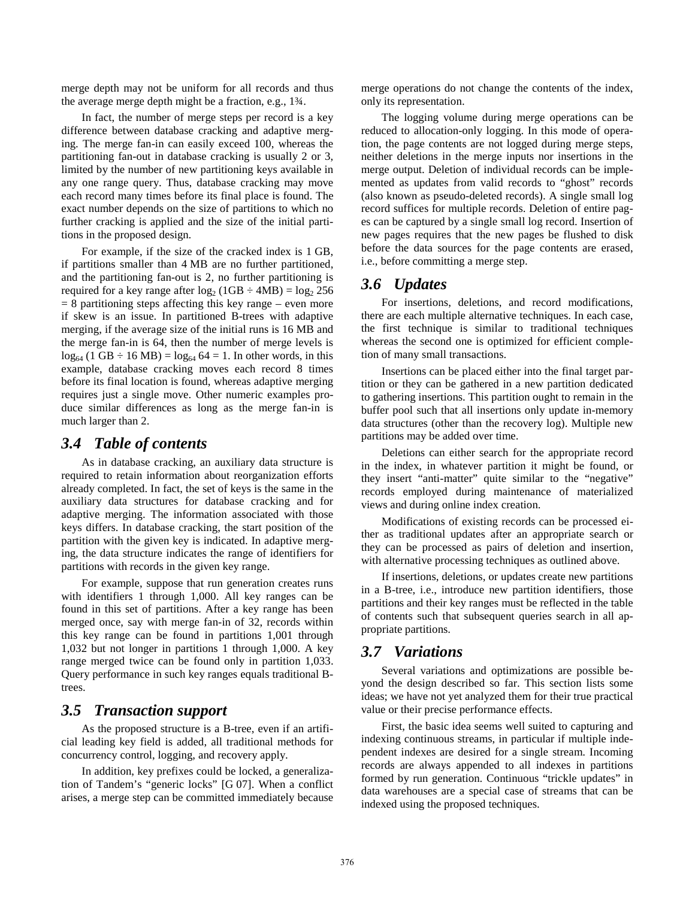merge depth may not be uniform for all records and thus the average merge depth might be a fraction, e.g., 1¾.

In fact, the number of merge steps per record is a key difference between database cracking and adaptive merging. The merge fan-in can easily exceed 100, whereas the partitioning fan-out in database cracking is usually 2 or 3, limited by the number of new partitioning keys available in any one range query. Thus, database cracking may move each record many times before its final place is found. The exact number depends on the size of partitions to which no further cracking is applied and the size of the initial partitions in the proposed design.

For example, if the size of the cracked index is 1 GB, if partitions smaller than 4 MB are no further partitioned, and the partitioning fan-out is 2, no further partitioning is required for a key range after  $log_2 (1GB \div 4MB) = log_2 256$  $= 8$  partitioning steps affecting this key range – even more if skew is an issue. In partitioned B-trees with adaptive merging, if the average size of the initial runs is 16 MB and the merge fan-in is 64, then the number of merge levels is  $log_{64}$  (1 GB ÷ 16 MB) =  $log_{64}$  64 = 1. In other words, in this example, database cracking moves each record 8 times before its final location is found, whereas adaptive merging requires just a single move. Other numeric examples produce similar differences as long as the merge fan-in is much larger than 2.

#### *3.4 Table of contents*

As in database cracking, an auxiliary data structure is required to retain information about reorganization efforts already completed. In fact, the set of keys is the same in the auxiliary data structures for database cracking and for adaptive merging. The information associated with those keys differs. In database cracking, the start position of the partition with the given key is indicated. In adaptive merging, the data structure indicates the range of identifiers for partitions with records in the given key range.

For example, suppose that run generation creates runs with identifiers 1 through 1,000. All key ranges can be found in this set of partitions. After a key range has been merged once, say with merge fan-in of 32, records within this key range can be found in partitions 1,001 through 1,032 but not longer in partitions 1 through 1,000. A key range merged twice can be found only in partition 1,033. Query performance in such key ranges equals traditional Btrees.

#### *3.5 Transaction support*

As the proposed structure is a B-tree, even if an artificial leading key field is added, all traditional methods for concurrency control, logging, and recovery apply.

In addition, key prefixes could be locked, a generalization of Tandem's "generic locks" [G 07]. When a conflict arises, a merge step can be committed immediately because merge operations do not change the contents of the index, only its representation.

The logging volume during merge operations can be reduced to allocation-only logging. In this mode of operation, the page contents are not logged during merge steps, neither deletions in the merge inputs nor insertions in the merge output. Deletion of individual records can be implemented as updates from valid records to "ghost" records (also known as pseudo-deleted records). A single small log record suffices for multiple records. Deletion of entire pages can be captured by a single small log record. Insertion of new pages requires that the new pages be flushed to disk before the data sources for the page contents are erased, i.e., before committing a merge step.

#### *3.6 Updates*

For insertions, deletions, and record modifications, there are each multiple alternative techniques. In each case, the first technique is similar to traditional techniques whereas the second one is optimized for efficient completion of many small transactions.

Insertions can be placed either into the final target partition or they can be gathered in a new partition dedicated to gathering insertions. This partition ought to remain in the buffer pool such that all insertions only update in-memory data structures (other than the recovery log). Multiple new partitions may be added over time.

Deletions can either search for the appropriate record in the index, in whatever partition it might be found, or they insert "anti-matter" quite similar to the "negative" records employed during maintenance of materialized views and during online index creation.

Modifications of existing records can be processed either as traditional updates after an appropriate search or they can be processed as pairs of deletion and insertion, with alternative processing techniques as outlined above.

If insertions, deletions, or updates create new partitions in a B-tree, i.e., introduce new partition identifiers, those partitions and their key ranges must be reflected in the table of contents such that subsequent queries search in all appropriate partitions.

#### *3.7 Variations*

Several variations and optimizations are possible beyond the design described so far. This section lists some ideas; we have not yet analyzed them for their true practical value or their precise performance effects.

First, the basic idea seems well suited to capturing and indexing continuous streams, in particular if multiple independent indexes are desired for a single stream. Incoming records are always appended to all indexes in partitions formed by run generation. Continuous "trickle updates" in data warehouses are a special case of streams that can be indexed using the proposed techniques.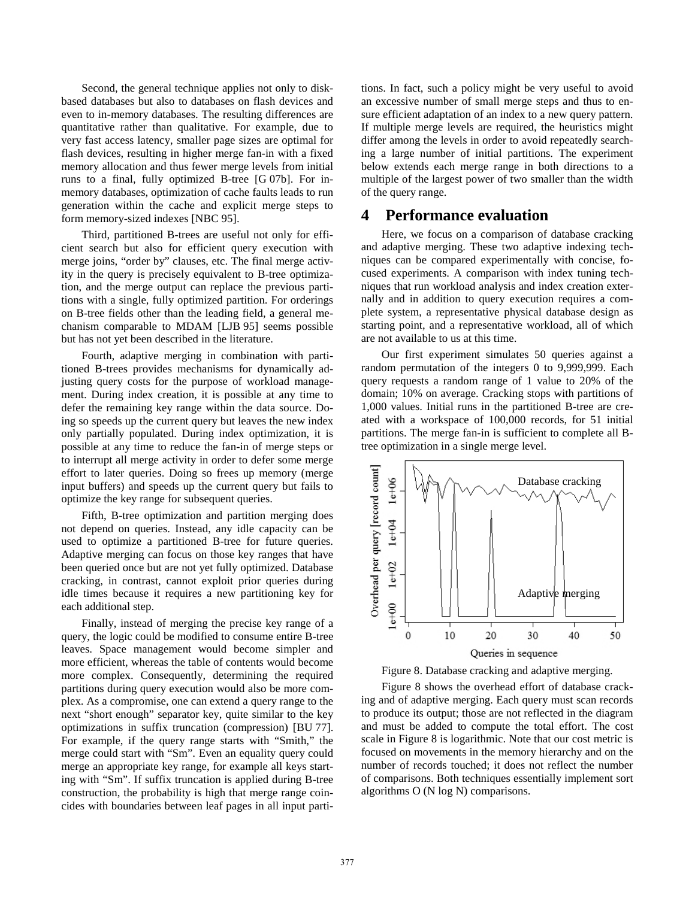Second, the general technique applies not only to diskbased databases but also to databases on flash devices and even to in-memory databases. The resulting differences are quantitative rather than qualitative. For example, due to very fast access latency, smaller page sizes are optimal for flash devices, resulting in higher merge fan-in with a fixed memory allocation and thus fewer merge levels from initial runs to a final, fully optimized B-tree [G 07b]. For inmemory databases, optimization of cache faults leads to run generation within the cache and explicit merge steps to form memory-sized indexes [NBC 95].

Third, partitioned B-trees are useful not only for efficient search but also for efficient query execution with merge joins, "order by" clauses, etc. The final merge activity in the query is precisely equivalent to B-tree optimization, and the merge output can replace the previous partitions with a single, fully optimized partition. For orderings on B-tree fields other than the leading field, a general mechanism comparable to MDAM [LJB 95] seems possible but has not yet been described in the literature.

Fourth, adaptive merging in combination with partitioned B-trees provides mechanisms for dynamically adjusting query costs for the purpose of workload management. During index creation, it is possible at any time to defer the remaining key range within the data source. Doing so speeds up the current query but leaves the new index only partially populated. During index optimization, it is possible at any time to reduce the fan-in of merge steps or to interrupt all merge activity in order to defer some merge effort to later queries. Doing so frees up memory (merge input buffers) and speeds up the current query but fails to optimize the key range for subsequent queries.

Fifth, B-tree optimization and partition merging does not depend on queries. Instead, any idle capacity can be used to optimize a partitioned B-tree for future queries. Adaptive merging can focus on those key ranges that have been queried once but are not yet fully optimized. Database cracking, in contrast, cannot exploit prior queries during idle times because it requires a new partitioning key for each additional step.

Finally, instead of merging the precise key range of a query, the logic could be modified to consume entire B-tree leaves. Space management would become simpler and more efficient, whereas the table of contents would become more complex. Consequently, determining the required partitions during query execution would also be more complex. As a compromise, one can extend a query range to the next "short enough" separator key, quite similar to the key optimizations in suffix truncation (compression) [BU 77]. For example, if the query range starts with "Smith," the merge could start with "Sm". Even an equality query could merge an appropriate key range, for example all keys starting with "Sm". If suffix truncation is applied during B-tree construction, the probability is high that merge range coincides with boundaries between leaf pages in all input partitions. In fact, such a policy might be very useful to avoid an excessive number of small merge steps and thus to ensure efficient adaptation of an index to a new query pattern. If multiple merge levels are required, the heuristics might differ among the levels in order to avoid repeatedly searching a large number of initial partitions. The experiment below extends each merge range in both directions to a multiple of the largest power of two smaller than the width of the query range.

### **4 Performance evaluation**

Here, we focus on a comparison of database cracking and adaptive merging. These two adaptive indexing techniques can be compared experimentally with concise, focused experiments. A comparison with index tuning techniques that run workload analysis and index creation externally and in addition to query execution requires a complete system, a representative physical database design as starting point, and a representative workload, all of which are not available to us at this time.

Our first experiment simulates 50 queries against a random permutation of the integers 0 to 9,999,999. Each query requests a random range of 1 value to 20% of the domain; 10% on average. Cracking stops with partitions of 1,000 values. Initial runs in the partitioned B-tree are created with a workspace of 100,000 records, for 51 initial partitions. The merge fan-in is sufficient to complete all Btree optimization in a single merge level.



Figure 8. Database cracking and adaptive merging.

Figure 8 shows the overhead effort of database cracking and of adaptive merging. Each query must scan records to produce its output; those are not reflected in the diagram and must be added to compute the total effort. The cost scale in Figure 8 is logarithmic. Note that our cost metric is focused on movements in the memory hierarchy and on the number of records touched; it does not reflect the number of comparisons. Both techniques essentially implement sort algorithms O (N log N) comparisons.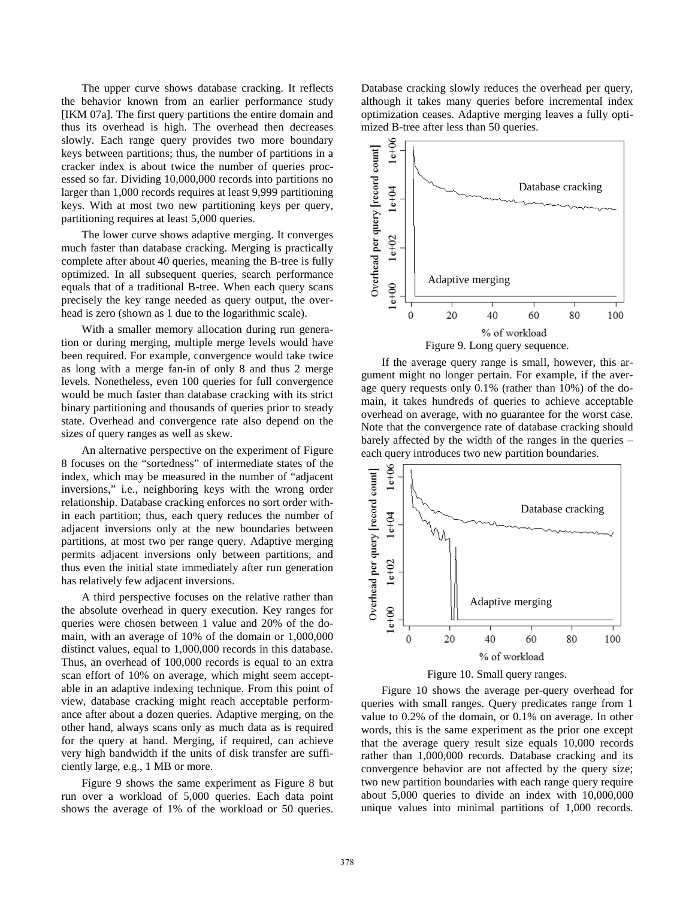The upper curve shows database cracking. It reflects the behavior known from an earlier performance study [IKM 07a]. The first query partitions the entire domain and thus its overhead is high. The overhead then decreases slowly. Each range query provides two more boundary keys between partitions; thus, the number of partitions in a cracker index is about twice the number of queries processed so far. Dividing 10,000,000 records into partitions no larger than 1,000 records requires at least 9,999 partitioning keys. With at most two new partitioning keys per query, partitioning requires at least 5,000 queries.

The lower curve shows adaptive merging. It converges much faster than database cracking. Merging is practically complete after about 40 queries, meaning the B-tree is fully optimized. In all subsequent queries, search performance equals that of a traditional B-tree. When each query scans precisely the key range needed as query output, the overhead is zero (shown as 1 due to the logarithmic scale).

With a smaller memory allocation during run generation or during merging, multiple merge levels would have been required. For example, convergence would take twice as long with a merge fan-in of only 8 and thus 2 merge levels. Nonetheless, even 100 queries for full convergence would be much faster than database cracking with its strict binary partitioning and thousands of queries prior to steady state. Overhead and convergence rate also depend on the sizes of query ranges as well as skew.

An alternative perspective on the experiment of Figure 8 focuses on the "sortedness" of intermediate states of the index, which may be measured in the number of "adjacent inversions," i.e., neighboring keys with the wrong order relationship. Database cracking enforces no sort order within each partition; thus, each query reduces the number of adjacent inversions only at the new boundaries between partitions, at most two per range query. Adaptive merging permits adjacent inversions only between partitions, and thus even the initial state immediately after run generation has relatively few adjacent inversions.

A third perspective focuses on the relative rather than the absolute overhead in query execution. Key ranges for queries were chosen between 1 value and 20% of the domain, with an average of 10% of the domain or 1,000,000 distinct values, equal to 1,000,000 records in this database. Thus, an overhead of 100,000 records is equal to an extra scan effort of 10% on average, which might seem acceptable in an adaptive indexing technique. From this point of view, database cracking might reach acceptable performance after about a dozen queries. Adaptive merging, on the other hand, always scans only as much data as is required for the query at hand. Merging, if required, can achieve very high bandwidth if the units of disk transfer are sufficiently large, e.g., 1 MB or more.

Figure 9 shows the same experiment as Figure 8 but run over a workload of 5,000 queries. Each data point shows the average of 1% of the workload or 50 queries. Database cracking slowly reduces the overhead per query, although it takes many queries before incremental index optimization ceases. Adaptive merging leaves a fully optimized B-tree after less than 50 queries.



If the average query range is small, however, this argument might no longer pertain. For example, if the average query requests only 0.1% (rather than 10%) of the domain, it takes hundreds of queries to achieve acceptable overhead on average, with no guarantee for the worst case. Note that the convergence rate of database cracking should barely affected by the width of the ranges in the queries – each query introduces two new partition boundaries.



Figure 10. Small query ranges.

Figure 10 shows the average per-query overhead for queries with small ranges. Query predicates range from 1 value to 0.2% of the domain, or 0.1% on average. In other words, this is the same experiment as the prior one except that the average query result size equals 10,000 records rather than 1,000,000 records. Database cracking and its convergence behavior are not affected by the query size; two new partition boundaries with each range query require about 5,000 queries to divide an index with 10,000,000 unique values into minimal partitions of 1,000 records.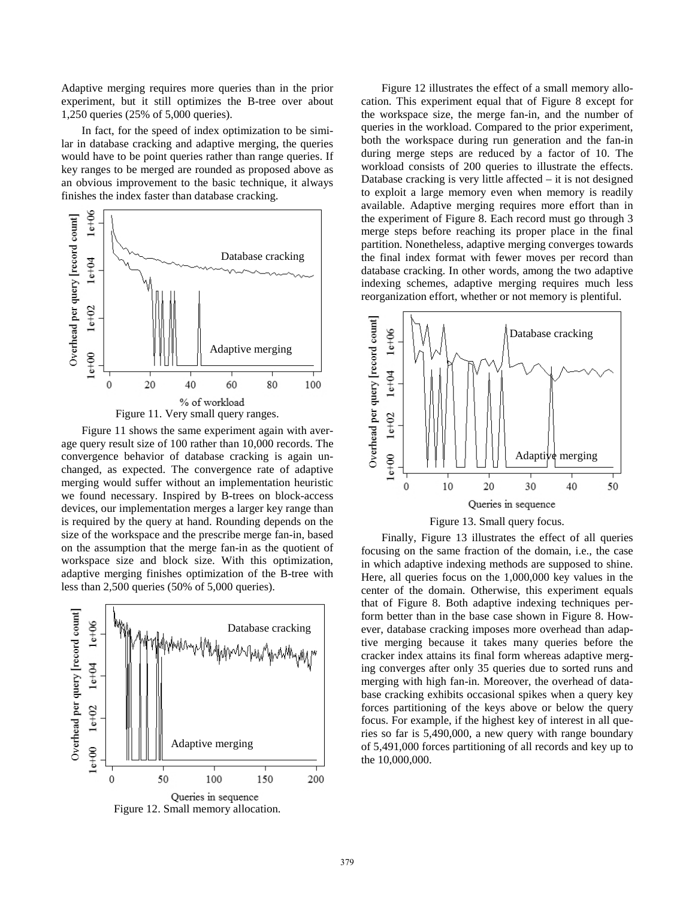Adaptive merging requires more queries than in the prior experiment, but it still optimizes the B-tree over about 1,250 queries (25% of 5,000 queries).

In fact, for the speed of index optimization to be similar in database cracking and adaptive merging, the queries would have to be point queries rather than range queries. If key ranges to be merged are rounded as proposed above as an obvious improvement to the basic technique, it always finishes the index faster than database cracking.





Figure 11 shows the same experiment again with average query result size of 100 rather than 10,000 records. The convergence behavior of database cracking is again unchanged, as expected. The convergence rate of adaptive merging would suffer without an implementation heuristic we found necessary. Inspired by B-trees on block-access devices, our implementation merges a larger key range than is required by the query at hand. Rounding depends on the size of the workspace and the prescribe merge fan-in, based on the assumption that the merge fan-in as the quotient of workspace size and block size. With this optimization, adaptive merging finishes optimization of the B-tree with less than 2,500 queries (50% of 5,000 queries).





Figure 12 illustrates the effect of a small memory allocation. This experiment equal that of Figure 8 except for the workspace size, the merge fan-in, and the number of queries in the workload. Compared to the prior experiment, both the workspace during run generation and the fan-in during merge steps are reduced by a factor of 10. The workload consists of 200 queries to illustrate the effects. Database cracking is very little affected – it is not designed to exploit a large memory even when memory is readily available. Adaptive merging requires more effort than in the experiment of Figure 8. Each record must go through 3 merge steps before reaching its proper place in the final partition. Nonetheless, adaptive merging converges towards the final index format with fewer moves per record than database cracking. In other words, among the two adaptive indexing schemes, adaptive merging requires much less reorganization effort, whether or not memory is plentiful.





Finally, Figure 13 illustrates the effect of all queries focusing on the same fraction of the domain, i.e., the case in which adaptive indexing methods are supposed to shine. Here, all queries focus on the 1,000,000 key values in the center of the domain. Otherwise, this experiment equals that of Figure 8. Both adaptive indexing techniques perform better than in the base case shown in Figure 8. However, database cracking imposes more overhead than adaptive merging because it takes many queries before the cracker index attains its final form whereas adaptive merging converges after only 35 queries due to sorted runs and merging with high fan-in. Moreover, the overhead of database cracking exhibits occasional spikes when a query key forces partitioning of the keys above or below the query focus. For example, if the highest key of interest in all queries so far is 5,490,000, a new query with range boundary of 5,491,000 forces partitioning of all records and key up to the 10,000,000.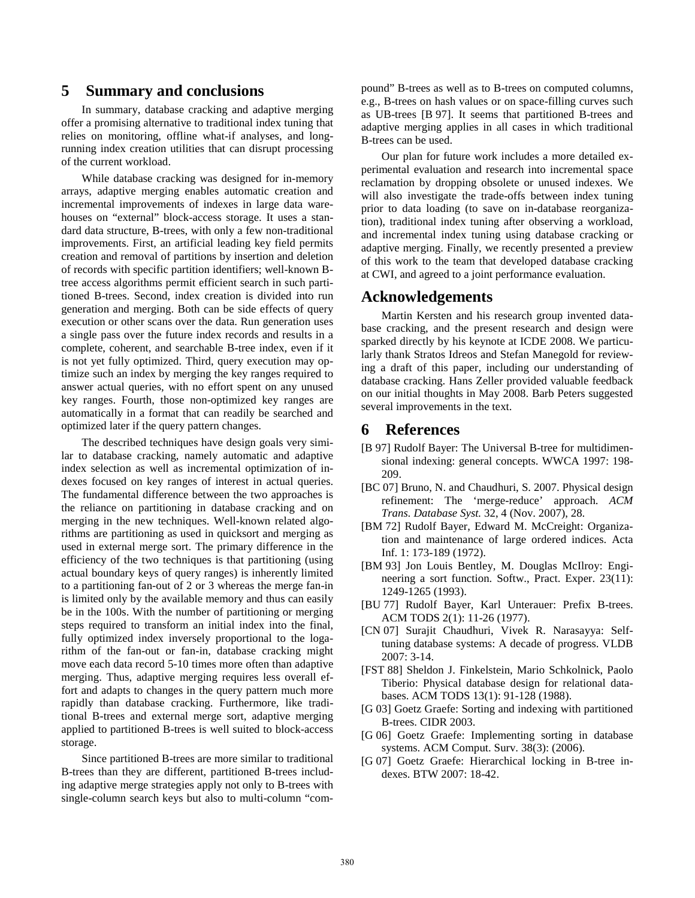#### **5 Summary and conclusions**

In summary, database cracking and adaptive merging offer a promising alternative to traditional index tuning that relies on monitoring, offline what-if analyses, and longrunning index creation utilities that can disrupt processing of the current workload.

While database cracking was designed for in-memory arrays, adaptive merging enables automatic creation and incremental improvements of indexes in large data warehouses on "external" block-access storage. It uses a standard data structure, B-trees, with only a few non-traditional improvements. First, an artificial leading key field permits creation and removal of partitions by insertion and deletion of records with specific partition identifiers; well-known Btree access algorithms permit efficient search in such partitioned B-trees. Second, index creation is divided into run generation and merging. Both can be side effects of query execution or other scans over the data. Run generation uses a single pass over the future index records and results in a complete, coherent, and searchable B-tree index, even if it is not yet fully optimized. Third, query execution may optimize such an index by merging the key ranges required to answer actual queries, with no effort spent on any unused key ranges. Fourth, those non-optimized key ranges are automatically in a format that can readily be searched and optimized later if the query pattern changes.

The described techniques have design goals very similar to database cracking, namely automatic and adaptive index selection as well as incremental optimization of indexes focused on key ranges of interest in actual queries. The fundamental difference between the two approaches is the reliance on partitioning in database cracking and on merging in the new techniques. Well-known related algorithms are partitioning as used in quicksort and merging as used in external merge sort. The primary difference in the efficiency of the two techniques is that partitioning (using actual boundary keys of query ranges) is inherently limited to a partitioning fan-out of 2 or 3 whereas the merge fan-in is limited only by the available memory and thus can easily be in the 100s. With the number of partitioning or merging steps required to transform an initial index into the final, fully optimized index inversely proportional to the logarithm of the fan-out or fan-in, database cracking might move each data record 5-10 times more often than adaptive merging. Thus, adaptive merging requires less overall effort and adapts to changes in the query pattern much more rapidly than database cracking. Furthermore, like traditional B-trees and external merge sort, adaptive merging applied to partitioned B-trees is well suited to block-access storage.

Since partitioned B-trees are more similar to traditional B-trees than they are different, partitioned B-trees including adaptive merge strategies apply not only to B-trees with single-column search keys but also to multi-column "compound" B-trees as well as to B-trees on computed columns, e.g., B-trees on hash values or on space-filling curves such as UB-trees [B 97]. It seems that partitioned B-trees and adaptive merging applies in all cases in which traditional B-trees can be used.

Our plan for future work includes a more detailed experimental evaluation and research into incremental space reclamation by dropping obsolete or unused indexes. We will also investigate the trade-offs between index tuning prior to data loading (to save on in-database reorganization), traditional index tuning after observing a workload, and incremental index tuning using database cracking or adaptive merging. Finally, we recently presented a preview of this work to the team that developed database cracking at CWI, and agreed to a joint performance evaluation.

#### **Acknowledgements**

Martin Kersten and his research group invented database cracking, and the present research and design were sparked directly by his keynote at ICDE 2008. We particularly thank Stratos Idreos and Stefan Manegold for reviewing a draft of this paper, including our understanding of database cracking. Hans Zeller provided valuable feedback on our initial thoughts in May 2008. Barb Peters suggested several improvements in the text.

## **6 References**

- [B 97] Rudolf Bayer: The Universal B-tree for multidimensional indexing: general concepts. WWCA 1997: 198- 209.
- [BC 07] Bruno, N. and Chaudhuri, S. 2007. Physical design refinement: The 'merge-reduce' approach. *ACM Trans. Database Syst.* 32, 4 (Nov. 2007), 28.
- [BM 72] Rudolf Bayer, Edward M. McCreight: Organization and maintenance of large ordered indices. Acta Inf. 1: 173-189 (1972).
- [BM 93] Jon Louis Bentley, M. Douglas McIlroy: Engineering a sort function. Softw., Pract. Exper. 23(11): 1249-1265 (1993).
- [BU 77] Rudolf Bayer, Karl Unterauer: Prefix B-trees. ACM TODS 2(1): 11-26 (1977).
- [CN 07] Surajit Chaudhuri, Vivek R. Narasayya: Selftuning database systems: A decade of progress. VLDB 2007: 3-14.
- [FST 88] Sheldon J. Finkelstein, Mario Schkolnick, Paolo Tiberio: Physical database design for relational databases. ACM TODS 13(1): 91-128 (1988).
- [G 03] Goetz Graefe: Sorting and indexing with partitioned B-trees. CIDR 2003.
- [G 06] Goetz Graefe: Implementing sorting in database systems. ACM Comput. Surv. 38(3): (2006).
- [G 07] Goetz Graefe: Hierarchical locking in B-tree indexes. BTW 2007: 18-42.